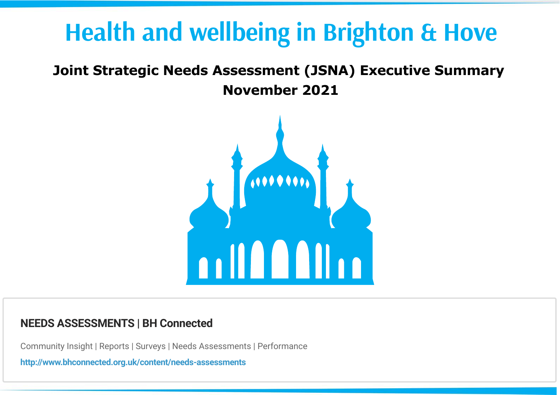## **Health and wellbeing in Brighton & Hove**

### **Joint Strategic Needs Assessment (JSNA) Executive Summary**

**November 2021**



### **NEEDS ASSESSMENTS | BH Connected**

Community Insight | Reports | Surveys | Needs Assessments | Performance

**<http://www.bhconnected.org.uk/content/needs-assessments>**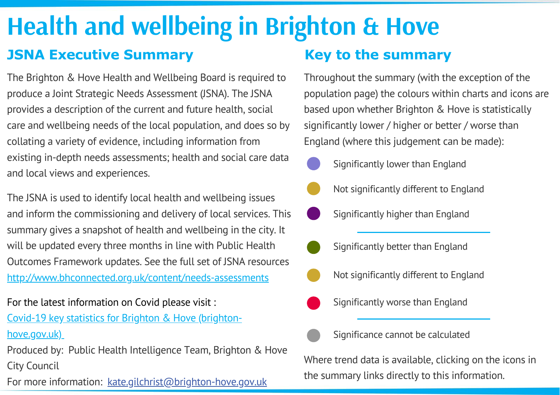# **Health and wellbeing in Brighton & Hove**

### **JSNA Executive Summary**

The Brighton & Hove Health and Wellbeing Board is required to produce a Joint Strategic Needs Assessment (JSNA). The JSNA provides a description of the current and future health, social care and wellbeing needs of the local population, and does so by collating a variety of evidence, including information from existing in-depth needs assessments; health and social care data and local views and experiences.

The JSNA is used to identify local health and wellbeing issues and inform the commissioning and delivery of local services. This summary gives a snapshot of health and wellbeing in the city. It will be updated every three months in line with Public Health Outcomes Framework updates. See the full set of JSNA resources <http://www.bhconnected.org.uk/content/needs-assessments>

For the latest information on Covid please visit : Covid-19 key statistics for Brighton & Hove (brighton-

[hove.gov.uk\)](https://www.brighton-hove.gov.uk/covid-19-key-statistics-brighton-hove)

Produced by: Public Health Intelligence Team, Brighton & Hove City Council

For more information: kate.gilchrist@brighton-hove.gov.uk

### **Key to the summary**

Throughout the summary (with the exception of the population page) the colours within charts and icons are based upon whether Brighton & Hove is statistically significantly lower / higher or better / worse than England (where this judgement can be made):

- - Significantly lower than England
	- Not significantly different to England
	- Significantly higher than England
	- Significantly better than England
	- Not significantly different to England
	- Significantly worse than England
		- Significance cannot be calculated

Where trend data is available, clicking on the icons in the summary links directly to this information.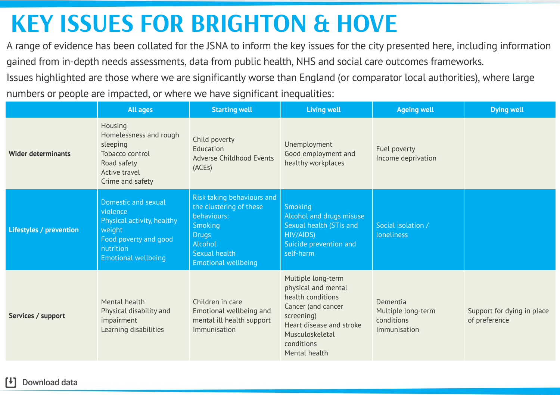## **KEY ISSUES FOR BRIGHTON & HOVE**

A range of evidence has been collated for the JSNA to inform the key issues for the city presented here, including information gained from in-depth needs assessments, data from public health, NHS and social care outcomes frameworks.

Issues highlighted are those where we are significantly worse than England (or comparator local authorities), where large numbers or people are impacted, or where we have significant inequalities:

|                                | <b>All ages</b>                                                                                                                             | <b>Starting well</b>                                                                                                                                      | <b>Living well</b>                                                                                                                                                               | <b>Ageing well</b>                                           | <b>Dying well</b>                           |
|--------------------------------|---------------------------------------------------------------------------------------------------------------------------------------------|-----------------------------------------------------------------------------------------------------------------------------------------------------------|----------------------------------------------------------------------------------------------------------------------------------------------------------------------------------|--------------------------------------------------------------|---------------------------------------------|
| <b>Wider determinants</b>      | Housing<br>Homelessness and rough<br>sleeping<br>Tobacco control<br>Road safety<br>Active travel<br>Crime and safety                        | Child poverty<br>Education<br><b>Adverse Childhood Events</b><br>(ACEs)                                                                                   | Unemployment<br>Good employment and<br>healthy workplaces                                                                                                                        | Fuel poverty<br>Income deprivation                           |                                             |
| <b>Lifestyles / prevention</b> | Domestic and sexual<br>violence<br>Physical activity, healthy<br>weight<br>Food poverty and good<br>nutrition<br><b>Emotional wellbeing</b> | Risk taking behaviours and<br>the clustering of these<br>behaviours:<br><b>Smoking</b><br><b>Drugs</b><br>Alcohol<br>Sexual health<br>Emotional wellbeing | <b>Smoking</b><br><b>Alcohol and drugs misuse</b><br>Sexual health (STIs and<br>HIV/AIDS)<br>Suicide prevention and<br>self-harm                                                 | Social isolation /<br><b>loneliness</b>                      |                                             |
| Services / support             | Mental health<br>Physical disability and<br>impairment<br>Learning disabilities                                                             | Children in care<br>Emotional wellbeing and<br>mental ill health support<br>Immunisation                                                                  | Multiple long-term<br>physical and mental<br>health conditions<br>Cancer (and cancer<br>screening)<br>Heart disease and stroke<br>Musculoskeletal<br>conditions<br>Mental health | Dementia<br>Multiple long-term<br>conditions<br>Immunisation | Support for dying in place<br>of preference |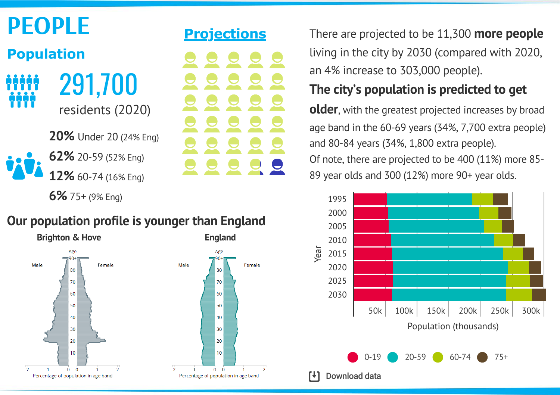

**[6%](http://www.bhconnected.org.uk/sites/bhconnected/files/2018%20Population%20JSNA%20summary%20-%20Final%20ammended.pdf)** 75+ (9% Eng)

### **[Projections](https://www.ons.gov.uk/peoplepopulationandcommunity/populationandmigration/populationprojections/bulletins/subnationalpopulationprojectionsforengland/2018based)**



**Our [population](https://www.ons.gov.uk/peoplepopulationandcommunity/populationandmigration/populationestimates/articles/ukpopulationpyramidinteractive/2020-01-08) profile is younger than England**



living in the city by 2030 [\(compared](https://www.ons.gov.uk/peoplepopulationandcommunity/populationandmigration/populationprojections/bulletins/subnationalpopulationprojectionsforengland/2018based) with 2020, an 4% increase to 303,000 people).

### **The city's [population](https://www.ons.gov.uk/peoplepopulationandcommunity/populationandmigration/populationprojections/bulletins/subnationalpopulationprojectionsforengland/2018based) is predicted to get**

**older**, with the greatest projected increases by broad age band in the 60-69 years (34%, 7,700 extra people) and 80-84 years (34%, 1,800 extra people).

Of note, there are [projected](https://www.ons.gov.uk/peoplepopulationandcommunity/populationandmigration/populationprojections/bulletins/subnationalpopulationprojectionsforengland/2018based) to be 400 (11%) more 85- 89 year olds and 300 (12%) more 90+ year olds.

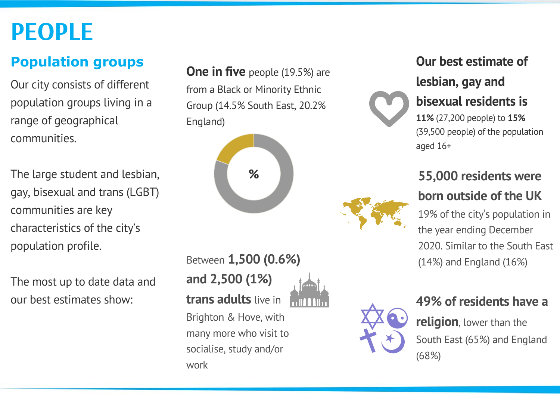## **PEOPLE**

### **Population groups**

Our city consists of different population groups living in a range of geographical communities.

The large student and lesbian, gay, bisexual and trans (LGBT) communities are key characteristics of the city's population profile.

The most up to date data and our best estimates show:

**One in five** people (19.5%) are from a Black or Minority Ethnic Group (14.5% South East, 20.2% [England\)](http://www.bhconnected.org.uk/sites/bhconnected/files/4.2.2%20Ethnicity%20JSNA%202016.pdf)



Between **1,500 (0.6%) and 2,500 (1%) trans [adults](https://www.bhconnected.org.uk/sites/bhconnected/files/Brighton%20%26%20Hove%20Trans%20Data%20Snapshot%202015.pdf)** live in Brighton & Hove, with many more who visit to socialise, study and/or work

## **Our best estimate of lesbian, gay and**



## **bisexual [residents](http://www.bhconnected.org.uk/sites/bhconnected/files/4.2.3%20Sexual%20orientation%20JSNA%202016.pdf) is**

**11%** (27,200 people) to **15%** (39,500 people) of the [population](http://www.bhconnected.org.uk/sites/bhconnected/files/4.2.3%20Sexual%20orientation%20JSNA%202016.pdf) aged 16+

### **55,000 residents were born [outside](https://www.ons.gov.uk/peoplepopulationandcommunity/populationandmigration/internationalmigration/datasets/populationoftheunitedkingdombycountryofbirthandnationality) of the UK**

19% of the city's population in the year ending December 2020. Similar to the South East (14%) and England (16%)



### **49% of residents have a**

**religion**, lower than the South East (65%) and England (68%)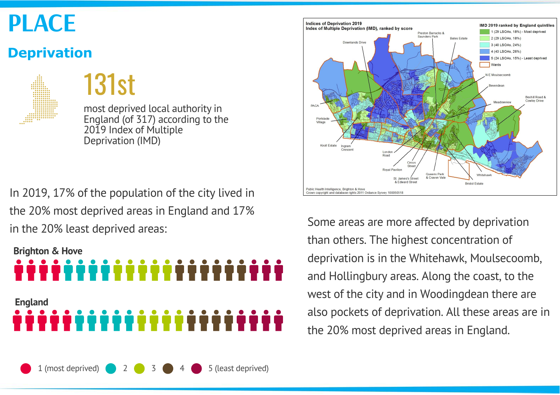## **PLACE**

### **Deprivation**

131st

most deprived local authority in England (of 317) according to the 2019 Index of Multiple Deprivation (IMD)

In 2019, 17% of the population of the city lived in the 20% most deprived areas in England and 17% in the 20% least deprived areas:



1 (most deprived) 2 3 3 4 5 (least deprived)



Some areas are more affected by deprivation than others. The highest concentration of deprivation is in the Whitehawk, Moulsecoomb, and Hollingbury areas. Along the coast, to the west of the city and in Woodingdean there are also pockets of deprivation. All these areas are in the 20% most deprived areas in England.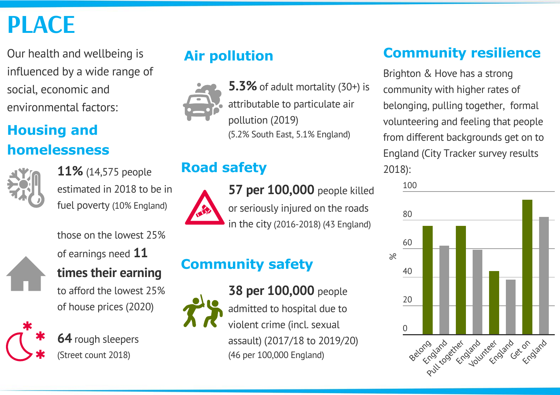# **PLACE**

Our health and wellbeing is influenced by a wide range of social, economic and environmental factors:

### **Housing and homelessness**



**11%** (14,575 people [estimated](https://fingertips.phe.org.uk/search/fuel%20poverty#page/4/gid/1/pat/6/par/E12000008/ati/102/are/E06000043/iid/90356/age/1/sex/4/nn/nn-1-E06000043) in 2018 to be in fuel poverty (10% England)



### of earnings need **11 times their [earning](https://www.ons.gov.uk/peoplepopulationandcommunity/housing/datasets/ratioofhousepricetoresidencebasedearningslowerquartileandmedian)**

those on the lowest 25%

to afford the lowest 25% of house prices (2020)



**64** rough [sleepers](https://www.gov.uk/government/statistics/rough-sleeping-in-england-autumn-2018) [\(Street](https://www.gov.uk/government/statistics/rough-sleeping-in-england-autumn-2018) count 2018)



**5.3%** of adult mortality (30+) is [attributable](https://fingertips.phe.org.uk/search/pollution#page/4/gid/1/pat/6/par/E12000008/ati/102/are/E06000043/iid/30101/age/230/sex/4) to particulate air pollution (2019) (5.2% South East, 5.1% [England\)](https://fingertips.phe.org.uk/search/pollution#page/4/gid/1/pat/6/par/E12000008/ati/102/are/E06000043/iid/30101/age/230/sex/4)

### **Road [safety](https://fingertips.phe.org.uk/search/killed#page/3/gid/1/pat/6/par/E12000008/ati/102/are/E06000043/iid/11001/age/1/sex/4/nn/nn-1-E06000043)**



**57 per [100,000](https://fingertips.phe.org.uk/search/killed#page/3/gid/1/pat/6/par/E12000008/ati/102/are/E06000043/iid/11001/age/1/sex/4/nn/nn-1-E06000043)** people killed or seriously injured on the roads in the city (2016-2018) (43 England)

## **[Community](https://fingertips.phe.org.uk/search/violence#page/3/gid/1/pat/6/par/E12000008/ati/102/are/E06000043/iid/11201/age/1/sex/4/nn/nn-1-E06000043) safety**



**38 per [100,000](https://fingertips.phe.org.uk/search/violence#page/4/gid/1/pat/6/par/E12000008/ati/102/are/E06000043/iid/11201/age/1/sex/4/nn/nn-1-E06000043)** people admitted to hospital due to violent crime (incl. sexual assault) (2017/18 to 2019/20) (46 per 100,000 [England\)](https://fingertips.phe.org.uk/search/violence#page/4/gid/1/pat/6/par/E12000008/ati/102/are/E06000043/iid/11201/age/1/sex/4/nn/nn-1-E06000043)

### **Air [pollution](https://fingertips.phe.org.uk/search/pollution#page/3/gid/1/pat/6/par/E12000008/ati/102/are/E06000043/iid/30101/age/230/sex/4) [Community](http://www.bhconnected.org.uk/content/surveys) resilience**

Brighton & Hove has a strong community with higher rates of belonging, pulling together, formal volunteering and feeling that people from different [backgrounds](http://www.bhconnected.org.uk/content/surveys) get on to England (City Tracker survey results 2018):

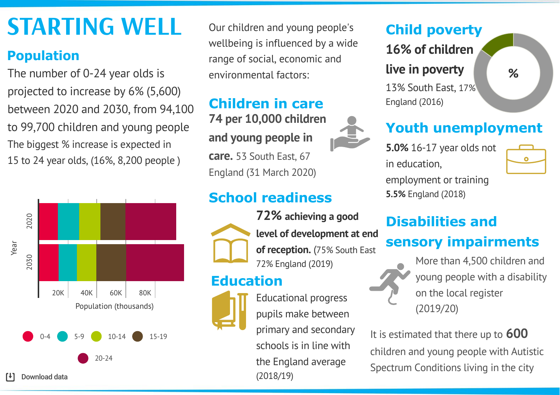# **STARTING WELL**

### **[Population](https://www.ons.gov.uk/peoplepopulationandcommunity/populationandmigration)**

[t]

The number of 0-24 year olds is projected to increase by 6% (5,600) between 2020 and 2030, from 94,100 to 99,700 children and young people The biggest % increase is expected in 15 to 24 year olds, (16%, 8,200 people )



Our children and young people's wellbeing is influenced by a wide range of social, economic and environmental factors:

### **74 per 10,000 children and young [people](https://www.gov.uk/government/collections/statistics-looked-after-children) in care.** 53 South East, 67 **[Children](https://fingertips.phe.org.uk/search/looked%20after#page/3/gid/1/pat/6/par/E12000008/ati/102/are/E06000043/iid/90401/age/173/sex/4/nn/nn-1-E06000043) in care**

England (31 March 2020)

### **School readiness**



**72% achieving a good level of [development](https://www.gov.uk/government/collections/statistics-early-years-foundation-stage-profile) at end of reception.** (75% South East 72% [England](https://www.gov.uk/government/collections/statistics-early-years-foundation-stage-profile) (2019)

### **[Education](https://fingertips.phe.org.uk/health-profiles#page/3/gid/3007000/pat/6/par/E12000008/ati/102/are/E06000043/iid/92199/age/175/sex/4/nn/nn-1-E06000043)**



Educational progress pupils make between primary and secondary schools is in line with the England average (2018/19)

### **Child [poverty](https://fingertips.phe.org.uk/profile/public-health-outcomes-framework/data#page/3/gid/1000041/pat/6/par/E12000004/ati/102/are/E06000043/iid/90630/age/199/sex/4/nn/nn-1-E06000043)**

**16% of children**

### **live in [poverty](https://fingertips.phe.org.uk/search/child%20poverty#page/4/gid/1/pat/6/par/E12000008/ati/102/are/E06000043/iid/10101/age/169/sex/4)**

13% South East, 17% England (2016)

### **Youth [unemployment](https://fingertips.phe.org.uk/profile/public-health-outcomes-framework/data#page/3/gid/1000041/pat/6/par/E12000008/ati/102/are/E06000043/iid/93203/age/174/sex/4/nn/nn-1-E06000043)**

**5.0%** 16-17 year olds not in education,

 $\bullet$ 

**%**

[employment](https://fingertips.phe.org.uk/profile/public-health-outcomes-framework/data#page/4/gid/1000041/pat/6/par/E12000008/ati/102/are/E06000043/iid/93203/age/174/sex/4/nn/nn-1-E06000043) or training **5.5%** [England](https://fingertips.phe.org.uk/profile/public-health-outcomes-framework/data#page/4/gid/1000041/pat/6/par/E12000008/ati/102/are/E06000043/iid/93203/age/174/sex/4/nn/nn-1-E06000043) (2018)

# **Disabilities and**

### **sensory impairments**



More than 4,500 children and young people with a disability on the local register [\(2019/20\)](https://amazesussex.org.uk/about-us/our-impact/)

It is estimated that there up to **600** children and young people with Autistic Spectrum [Conditions](http://www.bhconnected.org.uk/sites/bhconnected/files/jsna-7.2.10-Children-with-Autistic-Spectrum-Conditions.pdf) living in the city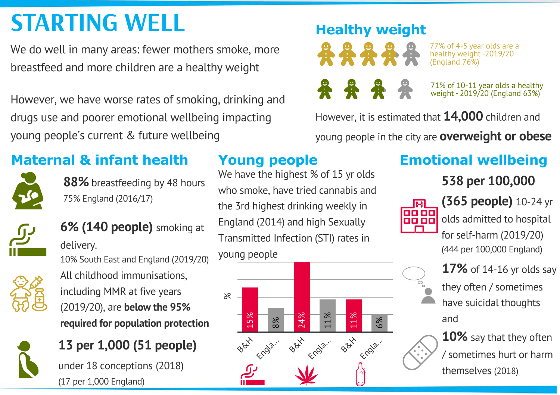# **STARTING WELL [Healthy](https://fingertips.phe.org.uk/profile/national-child-measurement-programme/data#page/4/gid/8000011/pat/6/par/nn-1-E06000043/ati/102/are/E06000043/iid/90317/age/200/sex/4/nn/nn-1-E06000043)** weight

We do well in many areas: fewer mothers smoke, more breastfeed and more children are a healthy weight

However, we have worse rates of smoking, drinking and drugs use and poorer emotional wellbeing impacting young people's current & future wellbeing

## **Maternal & infant health**



**88%** [breastfeeding](https://fingertips.phe.org.uk/search/breastfeeding#page/3/gid/1/pat/6/par/E12000008/ati/102/are/E06000043/iid/20201/age/1/sex/2/cat/-1/ctp/-1/cid/4/tbm/1) by 48 hours 75% England [\(2016/17\)](https://fingertips.phe.org.uk/search/breastfeeding#page/3/gid/1/pat/6/par/E12000008/ati/102/are/E06000043/iid/20201/age/1/sex/2/cat/-1/ctp/-1/cid/4/tbm/1)



**6% (140 [people\)](https://fingertips.phe.org.uk/profile/public-health-outcomes-framework/data#page/4/gid/1000042/pat/6/par/E12000008/ati/102/are/E06000043/iid/93085/age/1/sex/2)** smoking at

delivery. 10% South East and England [\(2019/20\)](https://fingertips.phe.org.uk/profile/public-health-outcomes-framework/data#page/4/gid/1000042/pat/6/par/E12000008/ati/102/are/E06000043/iid/93085/age/1/sex/2) All childhood [immunisations,](https://fingertips.phe.org.uk/search/MMR#page/4/gid/1/pat/6/par/E12000008/ati/102/are/E06000043/iid/30309/age/31/sex/4/nn/nn-1-E06000043) including MMR at five years (2019/20), are **below the 95% required for population protection**



## **13 per 1,000 (51 people)** under 18 [conceptions](https://fingertips.phe.org.uk/profile/public-health-outcomes-framework/data#page/4/gid/1000042/pat/6/par/E12000008/ati/102/are/E06000043/iid/20401/age/173/sex/2) (2018)

(17 per 1,000 [England\)](https://fingertips.phe.org.uk/profile/public-health-outcomes-framework/data#page/4/gid/1000042/pat/6/par/E12000008/ati/102/are/E06000043/iid/20401/age/173/sex/2)

### **Young [people](https://digital.nhs.uk/data-and-information/areas-of-interest/public-health/what-about-youth-study)**

We have the highest % of 15 yr olds who smoke, have tried [cannabis](https://digital.nhs.uk/data-and-information/areas-of-interest/public-health/what-about-youth-study) and the 3rd highest drinking weekly in England (2014) and high Sexually Transmitted Infection (STI) rates in young people





77% of 4-5 year olds are a healthy weight -2019/20 (England 76%)

71% of 10-11 year olds a healthy weight - 2019/20 (England 63%)

However, it is estimated that **14,000** children and

young people in the city are **[overweight](https://fingertips.phe.org.uk/profile/public-health-outcomes-framework/data#page/0/gid/1000042/pat/6/par/E12000008/ati/102/are/E06000043/iid/20601/age/200/sex/4) or obese**

## **Emotional wellbeing**

**538 per 100,000**



**(365 [people\)](https://fingertips.phe.org.uk/search/self%20harm#page/3/gid/1/pat/6/par/E12000008/ati/102/are/E06000043/iid/90813/age/305/sex/4/nn/nn-1-E06000043)** 10-24 yr olds admitted to hospital for self-harm (2019/20) (444 per 100,000 [England\)](https://fingertips.phe.org.uk/search/self%20harm#page/3/gid/1/pat/6/par/E12000008/ati/102/are/E06000043/iid/90813/age/305/sex/4/nn/nn-1-E06000043)

**17%** of 14-16 yr olds say they often / [sometimes](https://infogram.com/safe-and-well-at-school-survey-2018-1h7v4p0o55m82k0?live) have suicidal thoughts and

**10%** say that they often / sometimes hurt or harm [themselves](https://infogram.com/safe-and-well-at-school-survey-2018-1h7v4p0o55m82k0?live) (2018)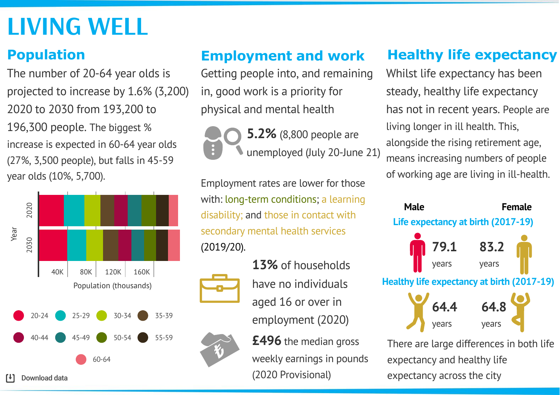## **LIVING WELL**

The number of 20-64 year olds is projected to increase by 1.6% (3,200) 2020 to 2030 from 193,200 to 196,300 people. The biggest % increase is expected in 60-64 year olds (27%, 3,500 people), but falls in 45-59 year olds (10%, 5,700).



### **[Employment](https://fingertips.phe.org.uk/search/unempl#page/3/gid/1/pat/6/par/E12000008/ati/102/are/E06000043/iid/91126/age/164/sex/4/nn/nn-1-E06000043) and work**

Getting people into, and remaining in, good work is a priority for physical and mental health

**5.2%** (8,800 people are unemployed (July 20-June 21)

[Employment](https://fingertips.phe.org.uk/search/employment%20rate#page/0/gid/1/pat/6/par/E12000008/ati/102/are/E06000043/cid/4/page-options/ovw-do-0) rates are lower for those with: long-term conditions; a learning disability; and those in contact with secondary mental health services (2019/20).



have no individuals aged 16 or over in employment (2020)

**1[3%](https://www.nomisweb.co.uk/reports/lmp/la/1946157280/report.aspx)** of households

**£496** the median gross weekly earnings in pounds (2020 [Provisional\)](https://www.ons.gov.uk/employmentandlabourmarket/peopleinwork/earningsandworkinghours/datasets/placeofresidencebylocalauthorityashetable8)

### **[Population](https://www.ons.gov.uk/peoplepopulationandcommunity/populationandmigration) Healthy life [expectancy](https://fingertips.phe.org.uk/profile/public-health-outcomes-framework/data#page/0/gid/1000049/pat/6/par/E12000008/ati/102/are/E06000043/nn/nn-1-E06000043)**

Whilst life expectancy has been steady, healthy life [expectancy](https://fingertips.phe.org.uk/profile/public-health-outcomes-framework/data#page/0/gid/1000049/pat/6/par/E12000008/ati/102/are/E06000043/nn/nn-1-E06000043) has not in recent years. People are living longer in ill health. This, alongside the rising retirement age, means increasing numbers of people of working age are living in ill-health.



There are large differences in both life [expectancy](https://fingertips.phe.org.uk/profile/public-health-outcomes-framework/data#page/0/gid/1000049/pat/6/par/E12000008/ati/102/are/E06000043/nn/nn-1-E06000043) and healthy life expectancy across the city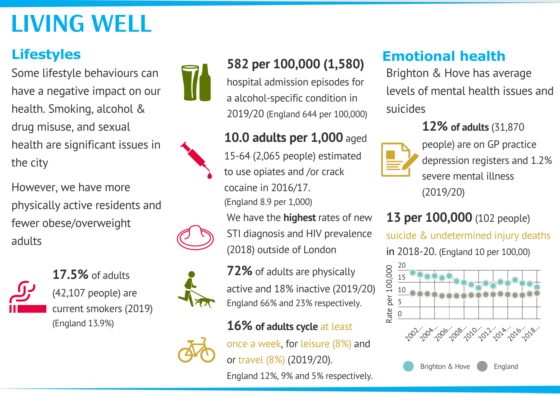# **LIVING WELL**

### **Lifestyles**

Some lifestyle behaviours can have a negative impact on our health. Smoking, alcohol & drug misuse, and sexual health are significant issues in the city

However, we have more physically active residents and fewer obese/overweight adults



**[17.5%](https://fingertips.phe.org.uk/profile/public-health-outcomes-framework/data#page/3/gid/1000042/pat/6/par/E12000008/ati/102/are/E06000043/iid/92443/age/168/sex/4/nn/nn-1-E06000043)** of adults (42,107 people) are current smokers (2019) (England 13.9%)



## **582 per 100,000 (1,580)**

hospital admission episodes for a [alcohol-specific](https://fingertips.phe.org.uk/profile/local-alcohol-profiles/data#page/1/gid/1938132984/pat/6/par/E12000008/ati/101/are/E06000043/iid/92906/age/1/sex/4/cat/-1/ctp/-1/yrr/1/cid/4/tbm/1) condition in 2019/20 (England 644 per 100,000)

### **10.0 adults per 1,000** aged

15-64 (2,065 people) [estimated](https://fingertips.phe.org.uk/search/opiate#page/3/gid/1/pat/6/par/E12000008/ati/102/are/E06000043/iid/91117/age/182/sex/4/nn/nn-1-E06000043) to use opiates and /or crack cocaine in 2016/17.

(England 8.9 per 1,000)

We have the **highest** rates of new STI diagnosis and HIV [prevalence](https://fingertips.phe.org.uk/profile/sexualhealth/data#page/0/gid/8000035/pat/6/par/E12000008/ati/102/are/E06000043/iid/91523/age/1/sex/4/nn/nn-1-E06000043) (2018) outside of London

**72%** of adults are [physically](https://fingertips.phe.org.uk/profile/public-health-outcomes-framework/data#page/3/gid/1000042/pat/6/par/E12000008/ati/102/are/E06000043/iid/93014/age/298/sex/4/nn/nn-1-E06000043) active and 18% inactive (2019/20) England 66% and 23% respectively.

### **16% of adults cycle** at least



once a week, for leisure (8%) and or travel (8%) [\(2019/20\).](https://www.gov.uk/government/collections/walking-and-cycling-statistics)

England 12%, 9% and 5% respectively.

### **Emotional health**

Brighton & Hove has average levels of mental health issues and suicides

### **12% of adults** (31,870



people) are on GP practice [depression](https://fingertips.phe.org.uk/search/depression#page/3/gid/1/pat/6/par/E12000008/ati/102/are/E06000043/iid/848/age/168/sex/4/nn/nn-1-E06000043) registers and 1.2% severe mental illness (2019/20)

## **13 per 100,000** (102 people)

suicide & [undetermined](https://fingertips.phe.org.uk/search/self%20harm#page/4/gid/1/pat/6/par/E12000008/ati/102/are/E06000043/iid/41001/age/285/sex/4/nn/nn-1-E06000043) injury deaths

in 2018-20. (England 10 per 100,00)

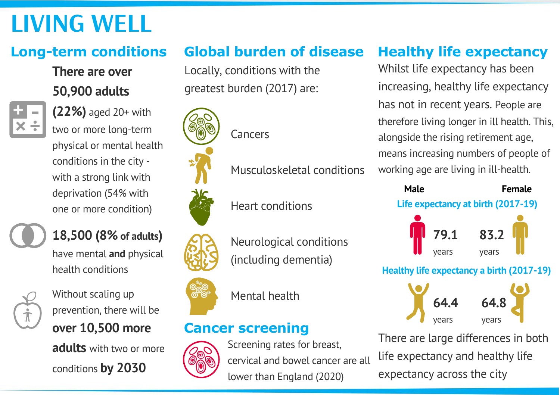# **LIVING WELL**

### **There are over 50,900 adults**



**(22%)** aged 20+ with two or more long-term physical or mental health conditions in the city with a strong link with [deprivation](https://fingertips.phe.org.uk/profile/public-health-outcomes-framework/data#page/0/gid/1000049/pat/6/par/E12000008/ati/102/are/E06000043/nn/nn-1-E06000043) (54% with one or more condition)



# **18,500 (8% of adults)**

have mental **and** physical health conditions



Without scaling up prevention, there will be **over 10,500 more adults** with two or more

conditions **by 2030**

## **Long-term conditions Global burden of disease**

Locally, [conditions](https://www.thelancet.com/lancet/visualisations/gbd-compare) with the greatest burden (2017) are:

[Cancers](https://www.thelancet.com/lancet/visualisations/gbd-compare)





෬ඁී෬ඁ



Heart [conditions](https://www.thelancet.com/lancet/visualisations/gbd-compare)

[Musculoskeletal](https://www.thelancet.com/lancet/visualisations/gbd-compare) conditions

[Mental](https://www.thelancet.com/lancet/visualisations/gbd-compare) health

### **Cancer screening**



Screening rates for breast, cervical and bowel cancer are all lower than England (2020)

## **Healthy life [expectancy](https://fingertips.phe.org.uk/profile/public-health-outcomes-framework/data#page/0/gid/1000049/pat/6/par/E12000008/ati/102/are/E06000043/nn/nn-1-E06000043)**

Whilst life expectancy has been increasing, healthy life [expectancy](https://fingertips.phe.org.uk/profile/public-health-outcomes-framework/data#page/0/gid/1000049/pat/6/par/E12000008/ati/102/are/E06000043/nn/nn-1-E06000043) has not in recent years. People are therefore living longer in ill health. This, alongside the rising retirement age, means increasing numbers of people of working age are living in ill-health.

| <b>Male</b>                                      |                 | <b>Female</b><br>Life expectancy at birth (2017-19) |  |  |  |  |
|--------------------------------------------------|-----------------|-----------------------------------------------------|--|--|--|--|
|                                                  | $79.1$<br>years | <b>83.2</b><br>years                                |  |  |  |  |
| <b>Healthy life expectancy a birth (2017-19)</b> |                 |                                                     |  |  |  |  |
|                                                  | 64.4            | 64.8                                                |  |  |  |  |
|                                                  |                 | years                                               |  |  |  |  |

There are large differences in both life [expectancy](https://fingertips.phe.org.uk/profile/public-health-outcomes-framework/data#page/0/gid/1000049/pat/6/par/E12000008/ati/102/are/E06000043/nn/nn-1-E06000043) and healthy life expectancy across the city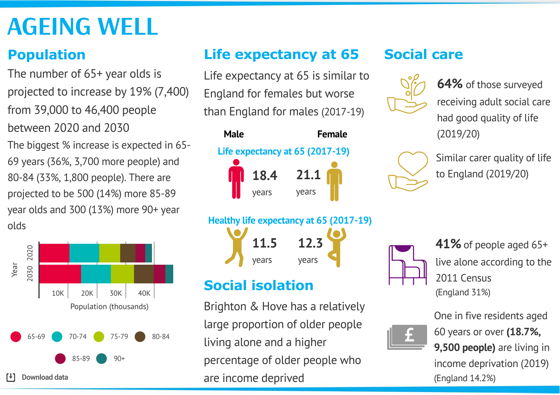# **AGEING WELL**

### **[Population](https://www.ons.gov.uk/peoplepopulationandcommunity/populationandmigration)**

The number of 65+ year olds is projected to increase by 19% (7,400) from 39,000 to 46,400 people between 2020 and 2030 The biggest % increase is expected in 65- 69 years (36%, 3,700 more people) and 80-84 (33%, 1,800 people). There are projected to be 500 (14%) more 85-89 year olds and 300 (13%) more 90+ year olds



### **Life [expectancy](https://fingertips.phe.org.uk/profile/public-health-outcomes-framework/data#page/0/gid/1000049/pat/6/par/E12000008/ati/102/are/E06000043/nn/nn-1-E06000043) at 65**

Life expectancy at 65 is similar to England for females but worse than England for males (2017-19)







### **Social isolation**

Download data **Example 2018** 2019 12:42 are income deprived to the set of the set of the set of the Download data Brighton & Hove has a relatively large proportion of older people living alone and a higher percentage of older people who

### **[Social](https://fingertips.phe.org.uk/profile/public-health-outcomes-framework/data#page/0/gid/1000049/pat/6/par/E12000008/ati/102/are/E06000043/nn/nn-1-E06000043) care**



**64%** of those surveyed receiving adult social care had good quality of life [\(2019/20\)](https://app.powerbi.com/view?r=eyJrIjoiNTY0ZTNhN2YtODg2ZS00OTIyLWI2MjItZTJiY2E5M2MxNTBmIiwidCI6IjUwZjYwNzFmLWJiZmUtNDAxYS04ODAzLTY3Mzc0OGU2MjllMiIsImMiOjh9)



Similar carer quality of life to England [\(2019/20\)](https://app.powerbi.com/view?r=eyJrIjoiNTY0ZTNhN2YtODg2ZS00OTIyLWI2MjItZTJiY2E5M2MxNTBmIiwidCI6IjUwZjYwNzFmLWJiZmUtNDAxYS04ODAzLTY3Mzc0OGU2MjllMiIsImMiOjh9)

**41%** of people aged 65+ live alone according to the 2011 Census (England 31%)



One in five residents aged 60 years or over **(18.7%, 9,500 people)** are living in income deprivation (2019)